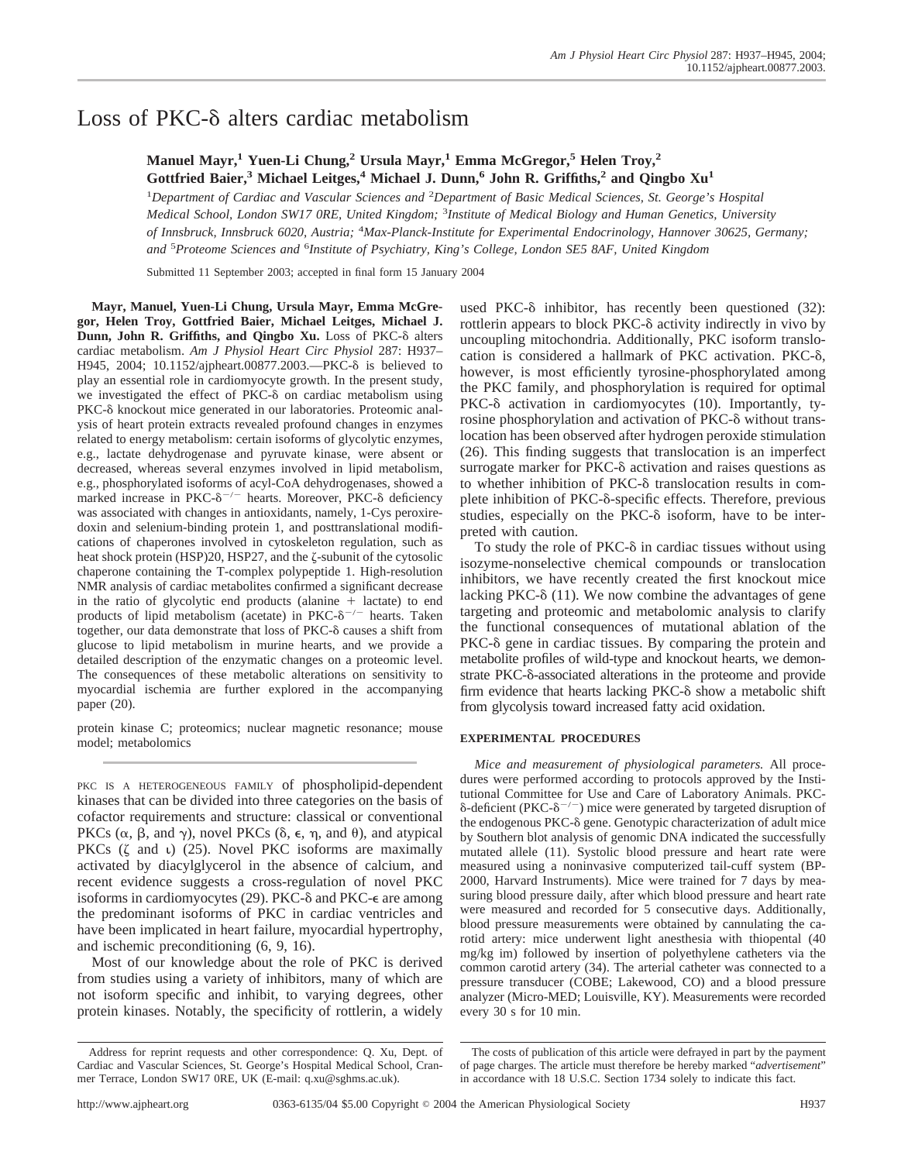# Loss of  $PKC-\delta$  alters cardiac metabolism

**Manuel Mayr,1 Yuen-Li Chung,2 Ursula Mayr,1 Emma McGregor,5 Helen Troy,2 Gottfried Baier,3 Michael Leitges,4 Michael J. Dunn,6 John R. Griffiths,2 and Qingbo Xu1**

<sup>1</sup>Department of Cardiac and Vascular Sciences and <sup>2</sup>Department of Basic Medical Sciences, St. George's Hospital *Medical School, London SW17 0RE, United Kingdom;* <sup>3</sup> *Institute of Medical Biology and Human Genetics, University of Innsbruck, Innsbruck 6020, Austria;* <sup>4</sup> *Max-Planck-Institute for Experimental Endocrinology, Hannover 30625, Germany; and* <sup>5</sup> *Proteome Sciences and* <sup>6</sup> *Institute of Psychiatry, King's College, London SE5 8AF, United Kingdom*

Submitted 11 September 2003; accepted in final form 15 January 2004

**Mayr, Manuel, Yuen-Li Chung, Ursula Mayr, Emma McGregor, Helen Troy, Gottfried Baier, Michael Leitges, Michael J.** Dunn, John R. Griffiths, and Qingbo Xu. Loss of PKC- $\delta$  alters cardiac metabolism. *Am J Physiol Heart Circ Physiol* 287: H937– H945, 2004; 10.1152/ajpheart.00877.2003.—PKC- $\delta$  is believed to play an essential role in cardiomyocyte growth. In the present study, we investigated the effect of PKC- $\delta$  on cardiac metabolism using PKC- $\delta$  knockout mice generated in our laboratories. Proteomic analysis of heart protein extracts revealed profound changes in enzymes related to energy metabolism: certain isoforms of glycolytic enzymes, e.g., lactate dehydrogenase and pyruvate kinase, were absent or decreased, whereas several enzymes involved in lipid metabolism, e.g., phosphorylated isoforms of acyl-CoA dehydrogenases, showed a marked increase in PKC- $\delta^{-/-}$  hearts. Moreover, PKC- $\delta$  deficiency was associated with changes in antioxidants, namely, 1-Cys peroxiredoxin and selenium-binding protein 1, and posttranslational modifications of chaperones involved in cytoskeleton regulation, such as heat shock protein (HSP)20, HSP27, and the  $\zeta$ -subunit of the cytosolic chaperone containing the T-complex polypeptide 1. High-resolution NMR analysis of cardiac metabolites confirmed a significant decrease in the ratio of glycolytic end products (alanine  $+$  lactate) to end products of lipid metabolism (acetate) in PKC- $\delta^{-/-}$  hearts. Taken together, our data demonstrate that loss of PKC-8 causes a shift from glucose to lipid metabolism in murine hearts, and we provide a detailed description of the enzymatic changes on a proteomic level. The consequences of these metabolic alterations on sensitivity to myocardial ischemia are further explored in the accompanying paper (20).

protein kinase C; proteomics; nuclear magnetic resonance; mouse model; metabolomics

PKC IS A HETEROGENEOUS FAMILY of phospholipid-dependent kinases that can be divided into three categories on the basis of cofactor requirements and structure: classical or conventional PKCs  $(\alpha, \beta, \text{ and } \gamma)$ , novel PKCs  $(\delta, \epsilon, \eta, \text{ and } \theta)$ , and atypical PKCs  $(\zeta$  and  $\zeta$  (25). Novel PKC isoforms are maximally activated by diacylglycerol in the absence of calcium, and recent evidence suggests a cross-regulation of novel PKC isoforms in cardiomyocytes (29). PKC- $\delta$  and PKC- $\epsilon$  are among the predominant isoforms of PKC in cardiac ventricles and have been implicated in heart failure, myocardial hypertrophy, and ischemic preconditioning (6, 9, 16).

Most of our knowledge about the role of PKC is derived from studies using a variety of inhibitors, many of which are not isoform specific and inhibit, to varying degrees, other protein kinases. Notably, the specificity of rottlerin, a widely used PKC- $\delta$  inhibitor, has recently been questioned (32): rottlerin appears to block PKC- $\delta$  activity indirectly in vivo by uncoupling mitochondria. Additionally, PKC isoform translocation is considered a hallmark of PKC activation. PKC- $\delta$ , however, is most efficiently tyrosine-phosphorylated among the PKC family, and phosphorylation is required for optimal PKC- $\delta$  activation in cardiomyocytes (10). Importantly, tyrosine phosphorylation and activation of PKC- $\delta$  without translocation has been observed after hydrogen peroxide stimulation (26). This finding suggests that translocation is an imperfect surrogate marker for  $PKC-\delta$  activation and raises questions as to whether inhibition of PKC- $\delta$  translocation results in complete inhibition of PKC- $\delta$ -specific effects. Therefore, previous studies, especially on the PKC- $\delta$  isoform, have to be interpreted with caution.

To study the role of  $PKC-\delta$  in cardiac tissues without using isozyme-nonselective chemical compounds or translocation inhibitors, we have recently created the first knockout mice lacking PKC- $\delta$  (11). We now combine the advantages of gene targeting and proteomic and metabolomic analysis to clarify the functional consequences of mutational ablation of the  $PKC-<sub>δ</sub>$  gene in cardiac tissues. By comparing the protein and metabolite profiles of wild-type and knockout hearts, we demonstrate PKC- $\delta$ -associated alterations in the proteome and provide firm evidence that hearts lacking  $PKC-\delta$  show a metabolic shift from glycolysis toward increased fatty acid oxidation.

## **EXPERIMENTAL PROCEDURES**

*Mice and measurement of physiological parameters.* All procedures were performed according to protocols approved by the Institutional Committee for Use and Care of Laboratory Animals. PKC-  $\delta$ -deficient (PKC- $\delta^{-/-}$ ) mice were generated by targeted disruption of the endogenous PKC- $\delta$  gene. Genotypic characterization of adult mice by Southern blot analysis of genomic DNA indicated the successfully mutated allele (11). Systolic blood pressure and heart rate were measured using a noninvasive computerized tail-cuff system (BP-2000, Harvard Instruments). Mice were trained for 7 days by measuring blood pressure daily, after which blood pressure and heart rate were measured and recorded for 5 consecutive days. Additionally, blood pressure measurements were obtained by cannulating the carotid artery: mice underwent light anesthesia with thiopental (40 mg/kg im) followed by insertion of polyethylene catheters via the common carotid artery (34). The arterial catheter was connected to a pressure transducer (COBE; Lakewood, CO) and a blood pressure analyzer (Micro-MED; Louisville, KY). Measurements were recorded every 30 s for 10 min.

Address for reprint requests and other correspondence: Q. Xu, Dept. of Cardiac and Vascular Sciences, St. George's Hospital Medical School, Cranmer Terrace, London SW17 0RE, UK (E-mail: q.xu@sghms.ac.uk).

The costs of publication of this article were defrayed in part by the payment of page charges. The article must therefore be hereby marked "*advertisement*" in accordance with 18 U.S.C. Section 1734 solely to indicate this fact.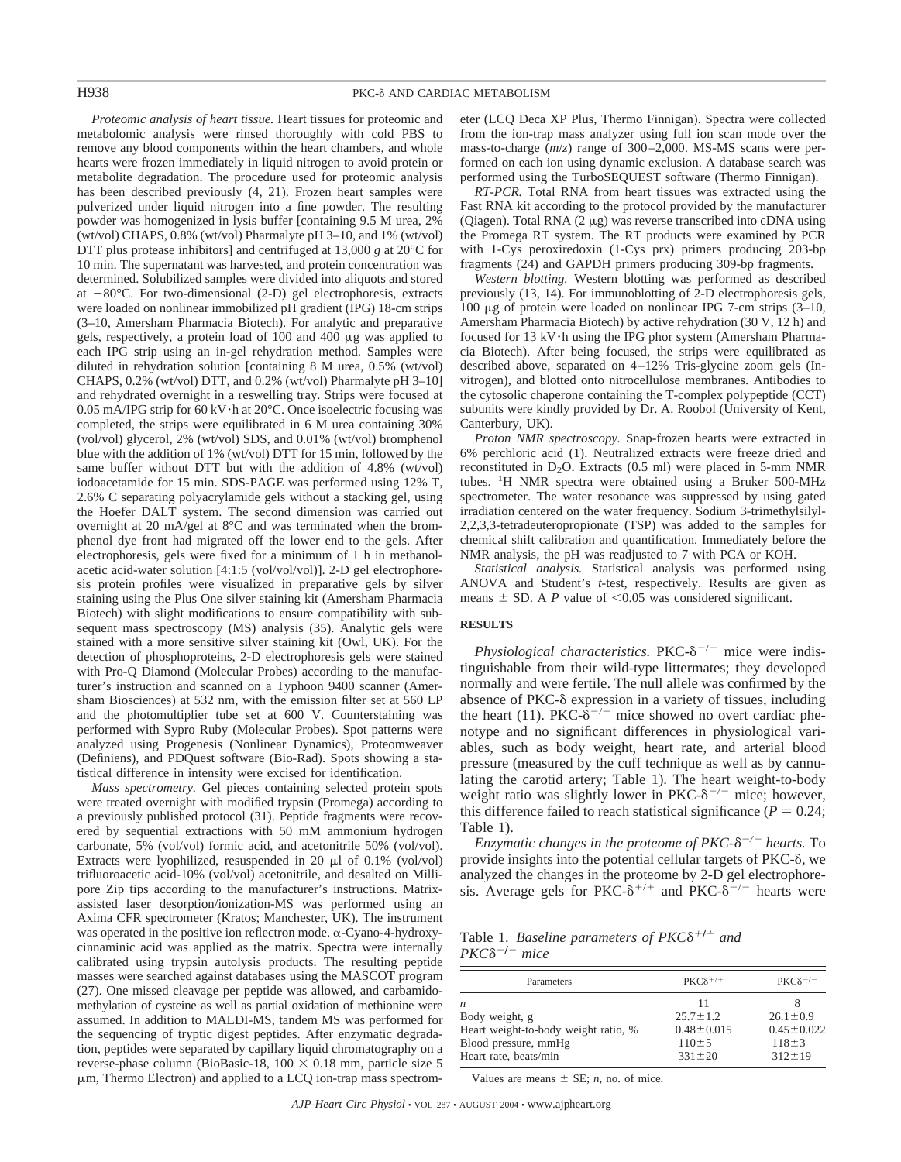*Proteomic analysis of heart tissue.* Heart tissues for proteomic and metabolomic analysis were rinsed thoroughly with cold PBS to remove any blood components within the heart chambers, and whole hearts were frozen immediately in liquid nitrogen to avoid protein or metabolite degradation. The procedure used for proteomic analysis has been described previously (4, 21). Frozen heart samples were pulverized under liquid nitrogen into a fine powder. The resulting powder was homogenized in lysis buffer [containing 9.5 M urea, 2% (wt/vol) CHAPS, 0.8% (wt/vol) Pharmalyte pH 3–10, and 1% (wt/vol) DTT plus protease inhibitors] and centrifuged at 13,000 *g* at 20°C for 10 min. The supernatant was harvested, and protein concentration was determined. Solubilized samples were divided into aliquots and stored at  $-80^{\circ}$ C. For two-dimensional (2-D) gel electrophoresis, extracts were loaded on nonlinear immobilized pH gradient (IPG) 18-cm strips (3–10, Amersham Pharmacia Biotech). For analytic and preparative gels, respectively, a protein load of  $100$  and  $400 \mu$ g was applied to each IPG strip using an in-gel rehydration method. Samples were diluted in rehydration solution [containing 8 M urea, 0.5% (wt/vol) CHAPS, 0.2% (wt/vol) DTT, and 0.2% (wt/vol) Pharmalyte pH 3–10] and rehydrated overnight in a reswelling tray. Strips were focused at 0.05 mA/IPG strip for 60 kV $\cdot$ h at 20 $\degree$ C. Once isoelectric focusing was completed, the strips were equilibrated in 6 M urea containing 30% (vol/vol) glycerol, 2% (wt/vol) SDS, and 0.01% (wt/vol) bromphenol blue with the addition of 1% (wt/vol) DTT for 15 min, followed by the same buffer without DTT but with the addition of 4.8% (wt/vol) iodoacetamide for 15 min. SDS-PAGE was performed using 12% T, 2.6% C separating polyacrylamide gels without a stacking gel, using the Hoefer DALT system. The second dimension was carried out overnight at 20 mA/gel at 8°C and was terminated when the bromphenol dye front had migrated off the lower end to the gels. After electrophoresis, gels were fixed for a minimum of 1 h in methanolacetic acid-water solution [4:1:5 (vol/vol/vol)]. 2-D gel electrophoresis protein profiles were visualized in preparative gels by silver staining using the Plus One silver staining kit (Amersham Pharmacia Biotech) with slight modifications to ensure compatibility with subsequent mass spectroscopy (MS) analysis (35). Analytic gels were stained with a more sensitive silver staining kit (Owl, UK). For the detection of phosphoproteins, 2-D electrophoresis gels were stained with Pro-Q Diamond (Molecular Probes) according to the manufacturer's instruction and scanned on a Typhoon 9400 scanner (Amersham Biosciences) at 532 nm, with the emission filter set at 560 LP and the photomultiplier tube set at 600 V. Counterstaining was performed with Sypro Ruby (Molecular Probes). Spot patterns were analyzed using Progenesis (Nonlinear Dynamics), Proteomweaver (Definiens), and PDQuest software (Bio-Rad). Spots showing a statistical difference in intensity were excised for identification.

*Mass spectrometry.* Gel pieces containing selected protein spots were treated overnight with modified trypsin (Promega) according to a previously published protocol (31). Peptide fragments were recovered by sequential extractions with 50 mM ammonium hydrogen carbonate, 5% (vol/vol) formic acid, and acetonitrile 50% (vol/vol). Extracts were lyophilized, resuspended in 20  $\mu$ l of 0.1% (vol/vol) trifluoroacetic acid-10% (vol/vol) acetonitrile, and desalted on Millipore Zip tips according to the manufacturer's instructions. Matrixassisted laser desorption/ionization-MS was performed using an Axima CFR spectrometer (Kratos; Manchester, UK). The instrument was operated in the positive ion reflectron mode.  $\alpha$ -Cyano-4-hydroxycinnaminic acid was applied as the matrix. Spectra were internally calibrated using trypsin autolysis products. The resulting peptide masses were searched against databases using the MASCOT program (27). One missed cleavage per peptide was allowed, and carbamidomethylation of cysteine as well as partial oxidation of methionine were assumed. In addition to MALDI-MS, tandem MS was performed for the sequencing of tryptic digest peptides. After enzymatic degradation, peptides were separated by capillary liquid chromatography on a reverse-phase column (BioBasic-18,  $100 \times 0.18$  mm, particle size 5 m, Thermo Electron) and applied to a LCQ ion-trap mass spectrometer (LCQ Deca XP Plus, Thermo Finnigan). Spectra were collected from the ion-trap mass analyzer using full ion scan mode over the mass-to-charge (*m*/*z*) range of 300–2,000. MS-MS scans were performed on each ion using dynamic exclusion. A database search was performed using the TurboSEQUEST software (Thermo Finnigan).

*RT-PCR.* Total RNA from heart tissues was extracted using the Fast RNA kit according to the protocol provided by the manufacturer (Qiagen). Total RNA  $(2 \mu g)$  was reverse transcribed into cDNA using the Promega RT system. The RT products were examined by PCR with 1-Cys peroxiredoxin (1-Cys prx) primers producing 203-bp fragments (24) and GAPDH primers producing 309-bp fragments.

*Western blotting.* Western blotting was performed as described previously (13, 14). For immunoblotting of 2-D electrophoresis gels, 100  $\mu$ g of protein were loaded on nonlinear IPG 7-cm strips (3–10, Amersham Pharmacia Biotech) by active rehydration (30 V, 12 h) and focused for 13 kV·h using the IPG phor system (Amersham Pharmacia Biotech). After being focused, the strips were equilibrated as described above, separated on 4–12% Tris-glycine zoom gels (Invitrogen), and blotted onto nitrocellulose membranes. Antibodies to the cytosolic chaperone containing the T-complex polypeptide (CCT) subunits were kindly provided by Dr. A. Roobol (University of Kent, Canterbury, UK).

*Proton NMR spectroscopy.* Snap-frozen hearts were extracted in 6% perchloric acid (1). Neutralized extracts were freeze dried and reconstituted in  $D_2O$ . Extracts (0.5 ml) were placed in 5-mm NMR tubes. <sup>1</sup> H NMR spectra were obtained using a Bruker 500-MHz spectrometer. The water resonance was suppressed by using gated irradiation centered on the water frequency. Sodium 3-trimethylsilyl-2,2,3,3-tetradeuteropropionate (TSP) was added to the samples for chemical shift calibration and quantification. Immediately before the NMR analysis, the pH was readjusted to 7 with PCA or KOH.

*Statistical analysis.* Statistical analysis was performed using ANOVA and Student's *t*-test, respectively. Results are given as means  $\pm$  SD. A *P* value of <0.05 was considered significant.

## **RESULTS**

 $Physiological$  *characteristics*.  $PKC-<sup>8</sup>$ <sup>-/-</sup> mice were indistinguishable from their wild-type littermates; they developed normally and were fertile. The null allele was confirmed by the absence of PKC- $\delta$  expression in a variety of tissues, including the heart (11). PKC- $\delta^{-/-}$  mice showed no overt cardiac phenotype and no significant differences in physiological variables, such as body weight, heart rate, and arterial blood pressure (measured by the cuff technique as well as by cannulating the carotid artery; Table 1). The heart weight-to-body weight ratio was slightly lower in PKC- $\delta^{-/-}$  mice; however, this difference failed to reach statistical significance ( $P = 0.24$ ; Table 1).

*Enzymatic changes in the proteome of PKC-* $\delta^{-/-}$  *hearts.* To provide insights into the potential cellular targets of PKC- $\delta$ , we analyzed the changes in the proteome by 2-D gel electrophoresis. Average gels for PKC- $\delta^{+/+}$  and PKC- $\delta^{-/-}$  hearts were

Table 1. *Baseline parameters of PKC* $\delta^{+/+}$  and  $PKC\delta^{-/-}$  mice

| Parameters                           | $PKC\delta^{+/+}$ | $PKC\delta^{-/-}$ |
|--------------------------------------|-------------------|-------------------|
| n                                    | 11                |                   |
| Body weight, g                       | $25.7 \pm 1.2$    | $26.1 \pm 0.9$    |
| Heart weight-to-body weight ratio, % | $0.48 \pm 0.015$  | $0.45 \pm 0.022$  |
| Blood pressure, mmHg                 | $110 \pm 5$       | $118 \pm 3$       |
| Heart rate, beats/min                | $331 \pm 20$      | $312 \pm 19$      |

Values are means  $\pm$  SE; *n*, no, of mice.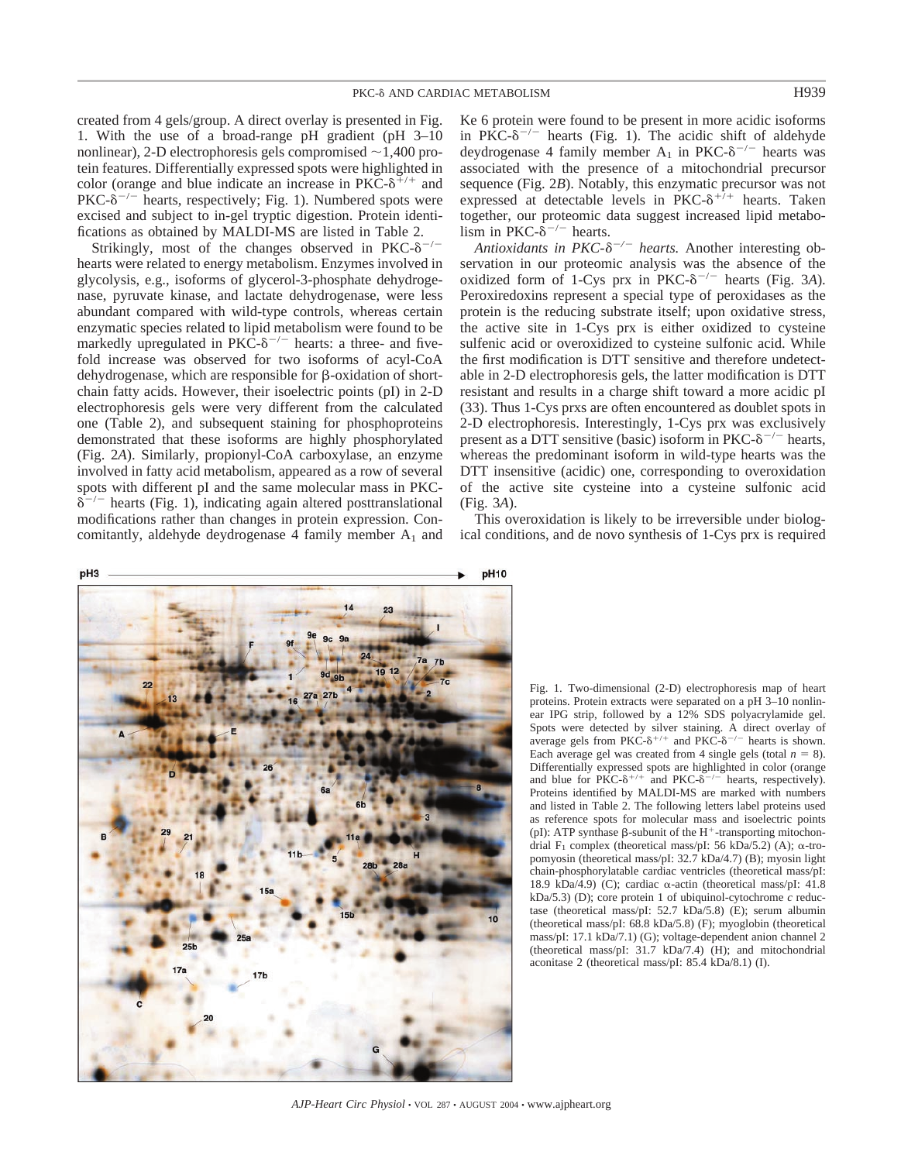created from 4 gels/group. A direct overlay is presented in Fig. 1. With the use of a broad-range pH gradient (pH 3–10 nonlinear), 2-D electrophoresis gels compromised  $\sim$  1,400 protein features. Differentially expressed spots were highlighted in color (orange and blue indicate an increase in PKC- $\delta^{+/+}$  and  $PKC-\delta^{-/-}$  hearts, respectively; Fig. 1). Numbered spots were excised and subject to in-gel tryptic digestion. Protein identifications as obtained by MALDI-MS are listed in Table 2.

Strikingly, most of the changes observed in PKC- $\delta^{-/-}$ hearts were related to energy metabolism. Enzymes involved in glycolysis, e.g., isoforms of glycerol-3-phosphate dehydrogenase, pyruvate kinase, and lactate dehydrogenase, were less abundant compared with wild-type controls, whereas certain enzymatic species related to lipid metabolism were found to be markedly upregulated in PKC- $\delta^{-/-}$  hearts: a three- and fivefold increase was observed for two isoforms of acyl-CoA dehydrogenase, which are responsible for  $\beta$ -oxidation of shortchain fatty acids. However, their isoelectric points (pI) in 2-D electrophoresis gels were very different from the calculated one (Table 2), and subsequent staining for phosphoproteins demonstrated that these isoforms are highly phosphorylated (Fig. 2*A*). Similarly, propionyl-CoA carboxylase, an enzyme involved in fatty acid metabolism, appeared as a row of several spots with different pI and the same molecular mass in PKC-  $\delta^{-/-}$  hearts (Fig. 1), indicating again altered posttranslational modifications rather than changes in protein expression. Concomitantly, aldehyde deydrogenase 4 family member  $A_1$  and Ke 6 protein were found to be present in more acidic isoforms in PKC- $\delta^{-/-}$  hearts (Fig. 1). The acidic shift of aldehyde deydrogenase 4 family member  $A_1$  in PKC- $\delta^{-/-}$  hearts was associated with the presence of a mitochondrial precursor sequence (Fig. 2*B*). Notably, this enzymatic precursor was not expressed at detectable levels in PKC- $\delta^{+7+}$  hearts. Taken together, our proteomic data suggest increased lipid metabolism in PKC- $\dot{\delta}^{-/-}$  hearts.

Antioxidants in PKC- $\delta^{-/-}$  hearts. Another interesting observation in our proteomic analysis was the absence of the oxidized form of 1-Cys prx in  $PKC-<sup>8</sup>$ <sup>-/-</sup> hearts (Fig. 3A). Peroxiredoxins represent a special type of peroxidases as the protein is the reducing substrate itself; upon oxidative stress, the active site in 1-Cys prx is either oxidized to cysteine sulfenic acid or overoxidized to cysteine sulfonic acid. While the first modification is DTT sensitive and therefore undetectable in 2-D electrophoresis gels, the latter modification is DTT resistant and results in a charge shift toward a more acidic pI (33). Thus 1-Cys prxs are often encountered as doublet spots in 2-D electrophoresis. Interestingly, 1-Cys prx was exclusively present as a DTT sensitive (basic) isoform in PKC- $\delta^{-/-}$  hearts, whereas the predominant isoform in wild-type hearts was the DTT insensitive (acidic) one, corresponding to overoxidation of the active site cysteine into a cysteine sulfonic acid (Fig. 3*A*).

This overoxidation is likely to be irreversible under biological conditions, and de novo synthesis of 1-Cys prx is required



Fig. 1. Two-dimensional (2-D) electrophoresis map of heart proteins. Protein extracts were separated on a pH 3–10 nonlinear IPG strip, followed by a 12% SDS polyacrylamide gel. Spots were detected by silver staining. A direct overlay of average gels from PKC- $\delta^{+/+}$  and PKC- $\delta^{-/-}$  hearts is shown. Each average gel was created from 4 single gels (total  $n = 8$ ). Differentially expressed spots are highlighted in color (orange and blue for PKC- $\delta^{+/+}$  and PKC- $\delta^{-/-}$  hearts, respectively). Proteins identified by MALDI-MS are marked with numbers and listed in Table 2. The following letters label proteins used as reference spots for molecular mass and isoelectric points (pI): ATP synthase  $\beta$ -subunit of the H<sup>+</sup>-transporting mitochondrial F<sub>1</sub> complex (theoretical mass/pI: 56 kDa/5.2) (A);  $\alpha$ -tropomyosin (theoretical mass/pI:  $32.7$  kDa/4.7) (B); myosin light chain-phosphorylatable cardiac ventricles (theoretical mass/pI: 18.9 kDa/4.9) (C); cardiac  $\alpha$ -actin (theoretical mass/pI: 41.8 kDa/5.3) (D); core protein 1 of ubiquinol-cytochrome *c* reductase (theoretical mass/pI: 52.7 kDa/5.8) (E); serum albumin (theoretical mass/pI: 68.8 kDa/5.8) (F); myoglobin (theoretical mass/pI: 17.1 kDa/7.1) (G); voltage-dependent anion channel 2 (theoretical mass/pI:  $31.7 \text{ kDa}/7.4$ ) (H); and mitochondrial aconitase 2 (theoretical mass/pI: 85.4 kDa/8.1) (I).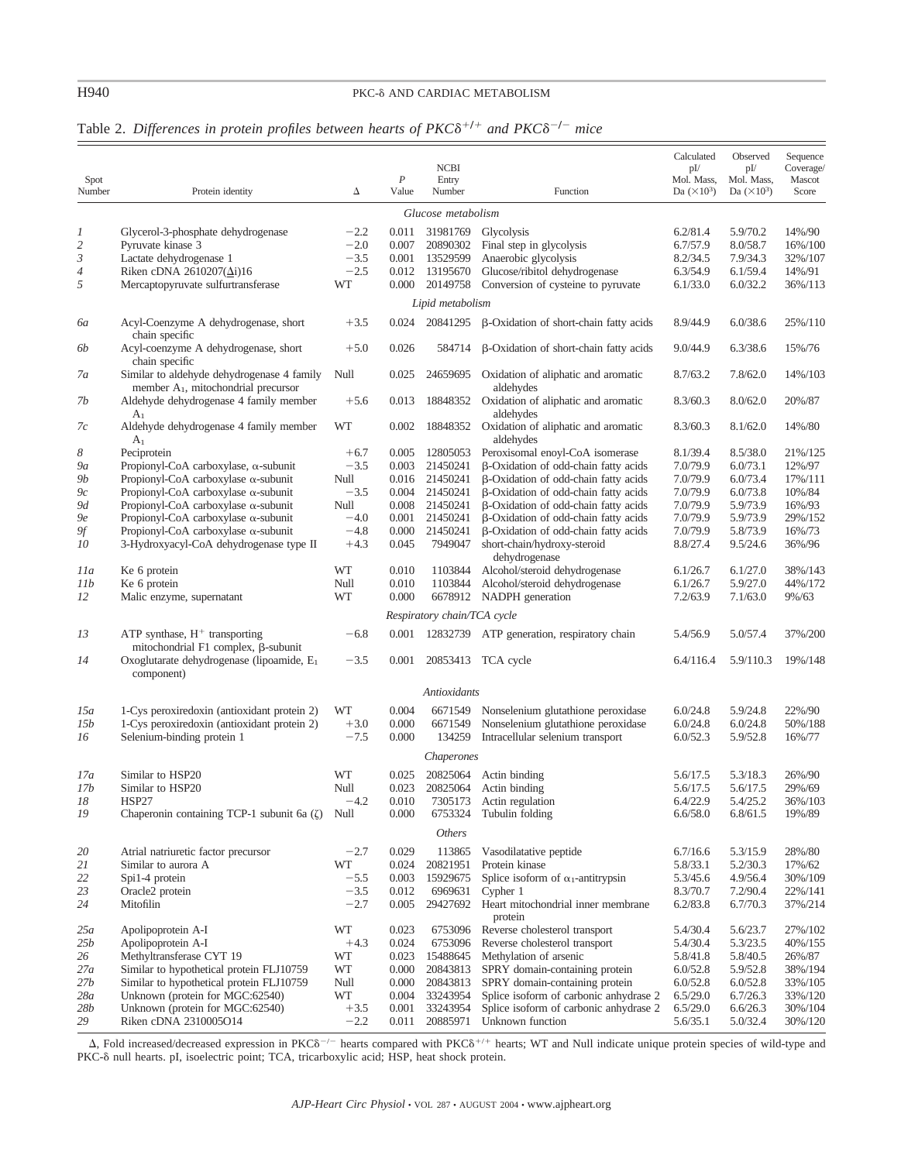## H940 PKC-8 AND CARDIAC METABOLISM

| Spot           |                                                                                               |        | P     | <b>NCBI</b><br>Entry        |                                                             | Calculated<br>pI/<br>Mol. Mass, | Observed<br>pI/<br>Mol. Mass, | Sequence<br>Coverage/<br>Mascot |
|----------------|-----------------------------------------------------------------------------------------------|--------|-------|-----------------------------|-------------------------------------------------------------|---------------------------------|-------------------------------|---------------------------------|
| Number         | Protein identity                                                                              | Δ      | Value | Number                      | Function                                                    | Da $(\times 10^3)$              | Da $(\times 10^3)$            | Score                           |
|                |                                                                                               |        |       | Glucose metabolism          |                                                             |                                 |                               |                                 |
| 1              | Glycerol-3-phosphate dehydrogenase                                                            | $-2.2$ | 0.011 | 31981769                    | Glycolysis                                                  | 6.2/81.4                        | 5.9/70.2                      | 14%/90                          |
| 2              | Pyruvate kinase 3                                                                             | $-2.0$ | 0.007 | 20890302                    | Final step in glycolysis                                    | 6.7/57.9                        | 8.0/58.7                      | 16%/100                         |
| 3              | Lactate dehydrogenase 1                                                                       | $-3.5$ | 0.001 | 13529599                    | Anaerobic glycolysis                                        | 8.2/34.5                        | 7.9/34.3                      | 32%/107                         |
| $\overline{4}$ | Riken cDNA 2610207(∆i)16                                                                      | $-2.5$ | 0.012 | 13195670                    | Glucose/ribitol dehydrogenase                               | 6.3/54.9                        | 6.1/59.4                      | 14%/91                          |
| 5              | Mercaptopyruvate sulfurtransferase                                                            | WT     | 0.000 | 20149758                    | Conversion of cysteine to pyruvate                          | 6.1/33.0                        | 6.0/32.2                      | 36%/113                         |
|                |                                                                                               |        |       | Lipid metabolism            |                                                             |                                 |                               |                                 |
| ба             | Acyl-Coenzyme A dehydrogenase, short<br>chain specific                                        | $+3.5$ | 0.024 | 20841295                    | β-Oxidation of short-chain fatty acids                      | 8.9/44.9                        | 6.0/38.6                      | 25%/110                         |
| 6b             | Acyl-coenzyme A dehydrogenase, short<br>chain specific                                        | $+5.0$ | 0.026 | 584714                      | β-Oxidation of short-chain fatty acids                      | 9.0/44.9                        | 6.3/38.6                      | 15%/76                          |
| 7а             | Similar to aldehyde dehydrogenase 4 family<br>member A <sub>1</sub> , mitochondrial precursor | Null   | 0.025 | 24659695                    | Oxidation of aliphatic and aromatic<br>aldehydes            | 8.7/63.2                        | 7.8/62.0                      | 14%/103                         |
| 7b             | Aldehyde dehydrogenase 4 family member<br>A <sub>1</sub>                                      | $+5.6$ | 0.013 | 18848352                    | Oxidation of aliphatic and aromatic<br>aldehydes            | 8.3/60.3                        | 8.0/62.0                      | 20%/87                          |
| 7с             | Aldehyde dehydrogenase 4 family member<br>A <sub>1</sub>                                      | WT     | 0.002 | 18848352                    | Oxidation of aliphatic and aromatic<br>aldehydes            | 8.3/60.3                        | 8.1/62.0                      | 14%/80                          |
| 8              | Peciprotein                                                                                   | $+6.7$ | 0.005 | 12805053                    | Peroxisomal enoyl-CoA isomerase                             | 8.1/39.4                        | 8.5/38.0                      | 21%/125                         |
| 9а             | Propionyl-CoA carboxylase, $\alpha$ -subunit                                                  | $-3.5$ | 0.003 | 21450241                    | β-Oxidation of odd-chain fatty acids                        | 7.0/79.9                        | 6.0/73.1                      | 12%/97                          |
| 9b             | Propionyl-CoA carboxylase α-subunit                                                           | Null   | 0.016 | 21450241                    | β-Oxidation of odd-chain fatty acids                        | 7.0/79.9                        | 6.0/73.4                      | 17%/111                         |
| 9с             | Propionyl-CoA carboxylase α-subunit                                                           | $-3.5$ | 0.004 | 21450241                    | β-Oxidation of odd-chain fatty acids                        | 7.0/79.9                        | 6.0/73.8                      | 10%/84                          |
| 9d             | Propionyl-CoA carboxylase α-subunit                                                           | Null   | 0.008 | 21450241                    | β-Oxidation of odd-chain fatty acids                        | 7.0/79.9                        | 5.9/73.9                      | 16%/93                          |
| 9е             | Propionyl-CoA carboxylase α-subunit                                                           | $-4.0$ | 0.001 | 21450241                    | β-Oxidation of odd-chain fatty acids                        | 7.0/79.9                        | 5.9/73.9                      | 29%/152                         |
| 9f             | Propionyl-CoA carboxylase α-subunit                                                           | $-4.8$ | 0.000 | 21450241                    | β-Oxidation of odd-chain fatty acids                        | 7.0/79.9                        | 5.8/73.9                      | 16%/73                          |
| 10             | 3-Hydroxyacyl-CoA dehydrogenase type II                                                       | $+4.3$ | 0.045 | 7949047                     | short-chain/hydroxy-steroid<br>dehydrogenase                | 8.8/27.4                        | 9.5/24.6                      | 36%/96                          |
| 11a            | Ke 6 protein                                                                                  | WT     | 0.010 | 1103844                     | Alcohol/steroid dehydrogenase                               | 6.1/26.7                        | 6.1/27.0                      | 38%/143                         |
| 11b            | Ke 6 protein                                                                                  | Null   | 0.010 | 1103844                     | Alcohol/steroid dehydrogenase                               | 6.1/26.7                        | 5.9/27.0                      | 44%/172                         |
| 12             | Malic enzyme, supernatant                                                                     | WT     | 0.000 | 6678912                     | NADPH generation                                            | 7.2/63.9                        | 7.1/63.0                      | 9%/63                           |
|                |                                                                                               |        |       | Respiratory chain/TCA cycle |                                                             |                                 |                               |                                 |
| 13             | ATP synthase, $H^+$ transporting<br>mitochondrial F1 complex, ß-subunit                       | $-6.8$ | 0.001 | 12832739                    | ATP generation, respiratory chain                           | 5.4/56.9                        | 5.0/57.4                      | 37%/200                         |
| 14             | Oxoglutarate dehydrogenase (lipoamide, E1<br>component)                                       | $-3.5$ | 0.001 |                             | 20853413 TCA cycle                                          | 6.4/116.4                       | 5.9/110.3                     | 19%/148                         |
|                |                                                                                               |        |       | Antioxidants                |                                                             |                                 |                               |                                 |
| 15a            | 1-Cys peroxiredoxin (antioxidant protein 2)                                                   | WT     | 0.004 | 6671549                     | Nonselenium glutathione peroxidase                          | 6.0/24.8                        | 5.9/24.8                      | 22%/90                          |
| 15b            | 1-Cys peroxiredoxin (antioxidant protein 2)                                                   | $+3.0$ | 0.000 | 6671549                     | Nonselenium glutathione peroxidase                          | 6.0/24.8                        | 6.0/24.8                      | 50%/188                         |
| 16             | Selenium-binding protein 1                                                                    | $-7.5$ | 0.000 | 134259                      | Intracellular selenium transport                            | 6.0/52.3                        | 5.9/52.8                      | 16%/77                          |
|                |                                                                                               |        |       | Chaperones                  |                                                             |                                 |                               |                                 |
| 17a            | Similar to HSP20                                                                              | WT     | 0.025 | 20825064                    | Actin binding                                               | 5.6/17.5                        | 5.3/18.3                      | 26%/90                          |
| 17b            | Similar to HSP20                                                                              | Null   | 0.023 | 20825064                    | Actin binding                                               | 5.6/17.5                        | 5.6/17.5                      | 29%/69                          |
| 18             | HSP27                                                                                         | $-4.2$ | 0.010 | 7305173                     | Actin regulation                                            | 6.4/22.9                        | 5.4/25.2                      | 36%/103                         |
| 19             | Chaperonin containing TCP-1 subunit 6a $(\zeta)$                                              | Null   | 0.000 | 6753324                     | Tubulin folding                                             | 6.6/58.0                        | 6.8/61.5                      | 19%/89                          |
|                |                                                                                               |        |       | <b>Others</b>               |                                                             |                                 |                               |                                 |
|                |                                                                                               |        |       |                             |                                                             |                                 |                               |                                 |
| 20             | Atrial natriuretic factor precursor                                                           | $-2.7$ | 0.029 | 113865                      | Vasodilatative peptide                                      | 6.7/16.6                        | 5.3/15.9                      | 28%/80                          |
| 21             | Similar to aurora A                                                                           | WT     | 0.024 | 20821951                    | Protein kinase<br>Splice isoform of $\alpha_1$ -antitrypsin | 5.8/33.1                        | 5.2/30.3                      | 17%/62                          |
| 22             | Spi1-4 protein                                                                                | $-5.5$ | 0.003 | 15929675                    |                                                             | 5.3/45.6                        | 4.9/56.4                      | 30%/109                         |
| 23             | Oracle2 protein                                                                               | $-3.5$ | 0.012 | 6969631                     | Cypher 1                                                    | 8.3/70.7                        | 7.2/90.4                      | 22%/141                         |
| 24             | Mitofilin                                                                                     | $-2.7$ | 0.005 | 29427692                    | Heart mitochondrial inner membrane<br>protein               | 6.2/83.8                        | 6.7/70.3                      | 37%/214                         |
| $25a\,$        | Apolipoprotein A-I                                                                            | WT     | 0.023 | 6753096                     | Reverse cholesterol transport                               | 5.4/30.4                        | 5.6/23.7                      | 27%/102                         |
| 25b            | Apolipoprotein A-I                                                                            | $+4.3$ | 0.024 | 6753096                     | Reverse cholesterol transport                               | 5.4/30.4                        | 5.3/23.5                      | 40%/155                         |
| 26             | Methyltransferase CYT 19                                                                      | WT     | 0.023 | 15488645                    | Methylation of arsenic                                      | 5.8/41.8                        | 5.8/40.5                      | 26%/87                          |
| 27a            | Similar to hypothetical protein FLJ10759                                                      | WT     | 0.000 | 20843813                    | SPRY domain-containing protein                              | 6.0/52.8                        | 5.9/52.8                      | 38%/194                         |
| 27b            | Similar to hypothetical protein FLJ10759                                                      | Null   | 0.000 | 20843813                    | SPRY domain-containing protein                              | 6.0/52.8                        | 6.0/52.8                      | 33%/105                         |
| 28a            | Unknown (protein for MGC:62540)                                                               | WT     | 0.004 | 33243954                    | Splice isoform of carbonic anhydrase 2                      | 6.5/29.0                        | 6.7/26.3                      | 33%/120                         |
| 28b            | Unknown (protein for MGC:62540)                                                               | $+3.5$ | 0.001 | 33243954                    | Splice isoform of carbonic anhydrase 2                      | 6.5/29.0                        | 6.6/26.3                      | 30%/104                         |
| 29             | Riken cDNA 2310005O14                                                                         | $-2.2$ | 0.011 | 20885971                    | Unknown function                                            | 5.6/35.1                        | 5.0/32.4                      | 30%/120                         |

## Table 2. Differences in protein profiles between hearts of  $PKC\delta^{+/+}$  and  $PKC\delta^{-/-}$  mice

 $\Delta$ , Fold increased/decreased expression in PKC $\delta^{-/-}$  hearts compared with PKC $\delta^{+/-}$  hearts; WT and Null indicate unique protein species of wild-type and PKC-8 null hearts. pI, isoelectric point; TCA, tricarboxylic acid; HSP, heat shock protein.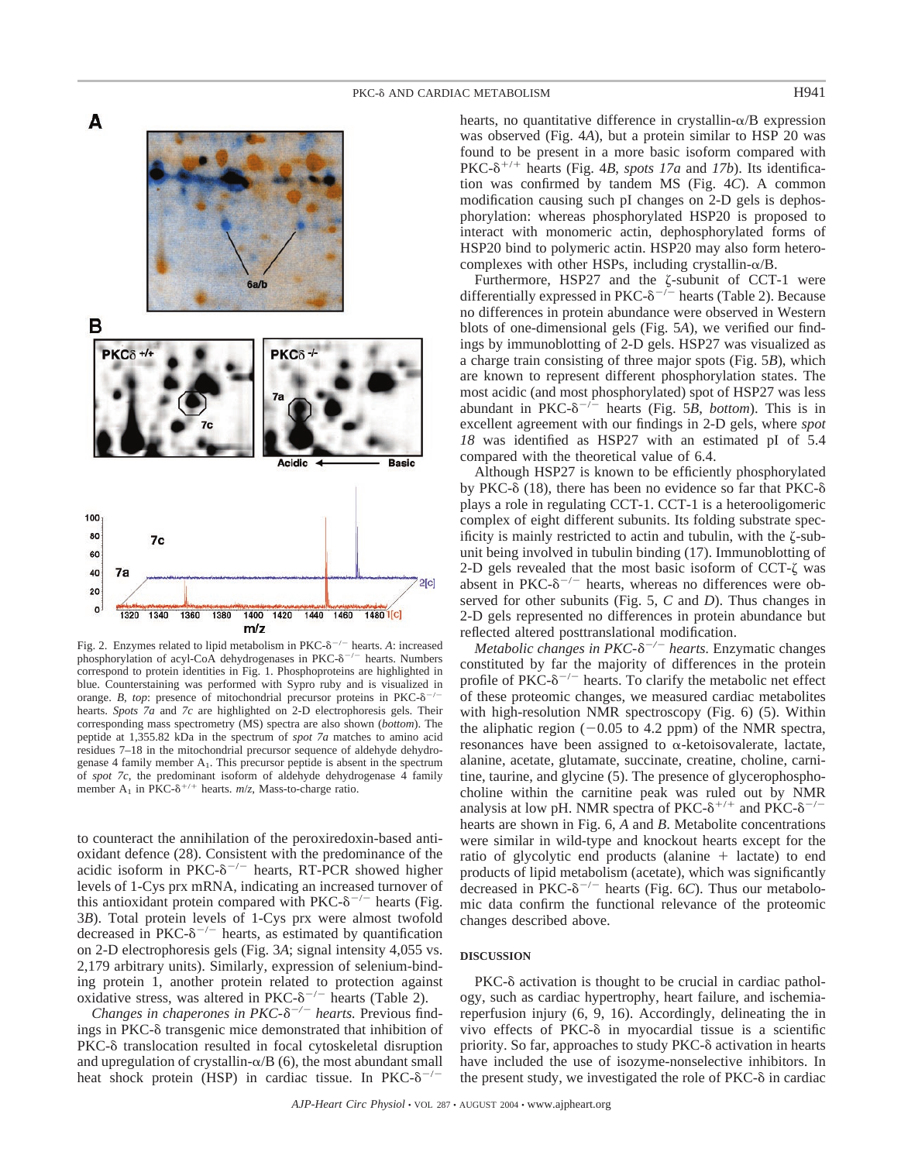

Fig. 2. Enzymes related to lipid metabolism in PKC- $\delta^{-/-}$  hearts. A: increased phosphorylation of acyl-CoA dehydrogenases in PKC- $\delta^{-/-}$  hearts. Numbers correspond to protein identities in Fig. 1. Phosphoproteins are highlighted in blue. Counterstaining was performed with Sypro ruby and is visualized in orange. *B*, *top*: presence of mitochondrial precursor proteins in  $PKC-\delta$ <sup>-</sup> /hearts. *Spots 7a* and *7c* are highlighted on 2-D electrophoresis gels. Their corresponding mass spectrometry (MS) spectra are also shown (*bottom*). The peptide at 1,355.82 kDa in the spectrum of *spot 7a* matches to amino acid residues 7–18 in the mitochondrial precursor sequence of aldehyde dehydrogenase 4 family member  $A_1$ . This precursor peptide is absent in the spectrum of *spot 7c*, the predominant isoform of aldehyde dehydrogenase 4 family member A<sub>1</sub> in PKC- $\delta^{+/+}$  hearts. *m/z*, Mass-to-charge ratio.

to counteract the annihilation of the peroxiredoxin-based antioxidant defence (28). Consistent with the predominance of the acidic isoform in PKC- $\delta^{-/-}$  hearts, RT-PCR showed higher levels of 1-Cys prx mRNA, indicating an increased turnover of this antioxidant protein compared with PKC- $\delta^{-/-}$  hearts (Fig. 3*B*). Total protein levels of 1-Cys prx were almost twofold decreased in PKC- $\delta^{-/-}$  hearts, as estimated by quantification on 2-D electrophoresis gels (Fig. 3*A*; signal intensity 4,055 vs. 2,179 arbitrary units). Similarly, expression of selenium-binding protein 1, another protein related to protection against oxidative stress, was altered in PKC- $\delta^{-/-}$  hearts (Table 2).

*Changes in chaperones in PKC-* $\delta^{-/-}$  *hearts.* Previous findings in PKC- $\delta$  transgenic mice demonstrated that inhibition of  $PKC-<sub>δ</sub>$  translocation resulted in focal cytoskeletal disruption and upregulation of crystallin- $\alpha$ /B (6), the most abundant small heat shock protein (HSP) in cardiac tissue. In PKC- $\delta^{-/-}$ 

hearts, no quantitative difference in crystallin- $\alpha/B$  expression was observed (Fig. 4*A*), but a protein similar to HSP 20 was found to be present in a more basic isoform compared with PKC- $\delta^{+/+}$  hearts (Fig. 4*B*, *spots 17a* and *17b*). Its identification was confirmed by tandem MS (Fig. 4*C*). A common modification causing such pI changes on 2-D gels is dephosphorylation: whereas phosphorylated HSP20 is proposed to interact with monomeric actin, dephosphorylated forms of HSP20 bind to polymeric actin. HSP20 may also form heterocomplexes with other HSPs, including crystallin- $\alpha$ /B.

Furthermore, HSP27 and the  $\zeta$ -subunit of CCT-1 were differentially expressed in PKC- $\delta^{-/-}$  hearts (Table 2). Because no differences in protein abundance were observed in Western blots of one-dimensional gels (Fig. 5*A*), we verified our findings by immunoblotting of 2-D gels. HSP27 was visualized as a charge train consisting of three major spots (Fig. 5*B*), which are known to represent different phosphorylation states. The most acidic (and most phosphorylated) spot of HSP27 was less abundant in  $PKC-<sup>8</sup>$ <sup>-/-</sup> hearts (Fig. 5*B*, *bottom*). This is in excellent agreement with our findings in 2-D gels, where *spot 18* was identified as HSP27 with an estimated pI of 5.4 compared with the theoretical value of 6.4.

Although HSP27 is known to be efficiently phosphorylated by PKC- $\delta$  (18), there has been no evidence so far that PKC- $\delta$ plays a role in regulating CCT-1. CCT-1 is a heterooligomeric complex of eight different subunits. Its folding substrate specificity is mainly restricted to actin and tubulin, with the  $\zeta$ -subunit being involved in tubulin binding (17). Immunoblotting of 2-D gels revealed that the most basic isoform of  $CCT-\zeta$  was absent in PKC- $\delta^{-/-}$  hearts, whereas no differences were observed for other subunits (Fig. 5, *C* and *D*). Thus changes in 2-D gels represented no differences in protein abundance but reflected altered posttranslational modification.

*Metabolic changes in PKC-δ<sup>-/-</sup> hearts.* Enzymatic changes constituted by far the majority of differences in the protein profile of PKC- $\delta^{-/-}$  hearts. To clarify the metabolic net effect of these proteomic changes, we measured cardiac metabolites with high-resolution NMR spectroscopy (Fig. 6) (5). Within the aliphatic region  $(-0.05$  to 4.2 ppm) of the NMR spectra, resonances have been assigned to  $\alpha$ -ketoisovalerate, lactate, alanine, acetate, glutamate, succinate, creatine, choline, carnitine, taurine, and glycine (5). The presence of glycerophosphocholine within the carnitine peak was ruled out by NMR analysis at low pH. NMR spectra of PKC- $\delta^{+/+}$  and PKC- $\delta^{-/-}$ hearts are shown in Fig. 6, *A* and *B*. Metabolite concentrations were similar in wild-type and knockout hearts except for the ratio of glycolytic end products (alanine  $+$  lactate) to end products of lipid metabolism (acetate), which was significantly decreased in  $PKC-<sup>8</sup>$ <sup>-/-</sup> hearts (Fig. 6*C*). Thus our metabolomic data confirm the functional relevance of the proteomic changes described above.

## **DISCUSSION**

 $PKC-\delta$  activation is thought to be crucial in cardiac pathology, such as cardiac hypertrophy, heart failure, and ischemiareperfusion injury (6, 9, 16). Accordingly, delineating the in vivo effects of  $PKC-\delta$  in myocardial tissue is a scientific priority. So far, approaches to study PKC- $\delta$  activation in hearts have included the use of isozyme-nonselective inhibitors. In the present study, we investigated the role of  $PKC-\delta$  in cardiac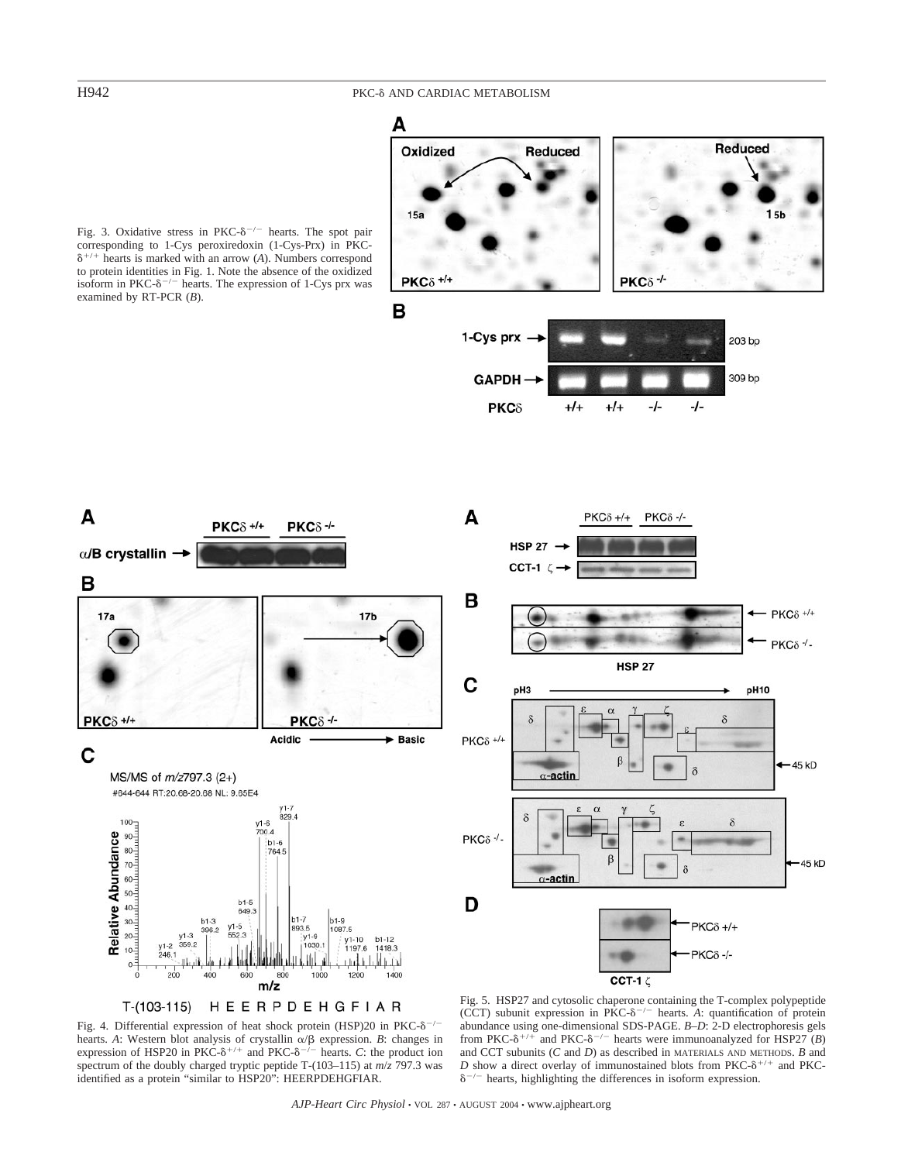A

B

 $17a$ 

 $PKC\delta$  +/+

 $100 -$ 

 $0 -$ 

C

 $\alpha$ /B crystallin  $\rightarrow$ 

## H942 PKC-8 AND CARDIAC METABOLISM



T-(103-115) HEERPDEHGFIAR

Fig. 4. Differential expression of heat shock protein (HSP)20 in PKC- $\delta^{-/-}$ hearts. *A*: Western blot analysis of crystallin  $\alpha/\beta$  expression. *B*: changes in expression of HSP20 in PKC- $\delta^{+/+}$  and PKC- $\delta^{-/-}$  hearts. *C*: the product ion spectrum of the doubly charged tryptic peptide T-(103–115) at *m*/*z* 797.3 was identified as a protein "similar to HSP20": HEERPDEHGFIAR.

 $b1-3$ 

396.2  $y1-3$ <br>359.2

400

 $y1-2$ 

246.1

200

Ш

Fig. 5. HSP27 and cytosolic chaperone containing the T-complex polypeptide (CCT) subunit expression in PKC- $\delta^{-/-}$  hearts. *A*: quantification of protein abundance using one-dimensional SDS-PAGE. *B–D*: 2-D electrophoresis gels from PKC- $\delta^{+/-}$  and PKC- $\delta^{-/-}$  hearts were immunoanalyzed for HSP27 (*B*) and CCT subunits (*C* and *D*) as described in MATERIALS AND METHODS. *B* and *D* show a direct overlay of immunostained blots from PKC- $\delta^{+/+}$  and PKC- $\delta^{-/-}$  hearts, highlighting the differences in isoform expression.

## Fig. 3. Oxidative stress in PKC- $\delta^{-/-}$  hearts. The spot pair corresponding to 1-Cys peroxiredoxin (1-Cys-Prx) in PKC-  $\delta^{+/+}$  hearts is marked with an arrow (*A*). Numbers correspond to protein identities in Fig. 1. Note the absence of the oxidized isoform in PKC- $\delta^{-/-}$  hearts. The expression of 1-Cys prx was examined by RT-PCR (*B*).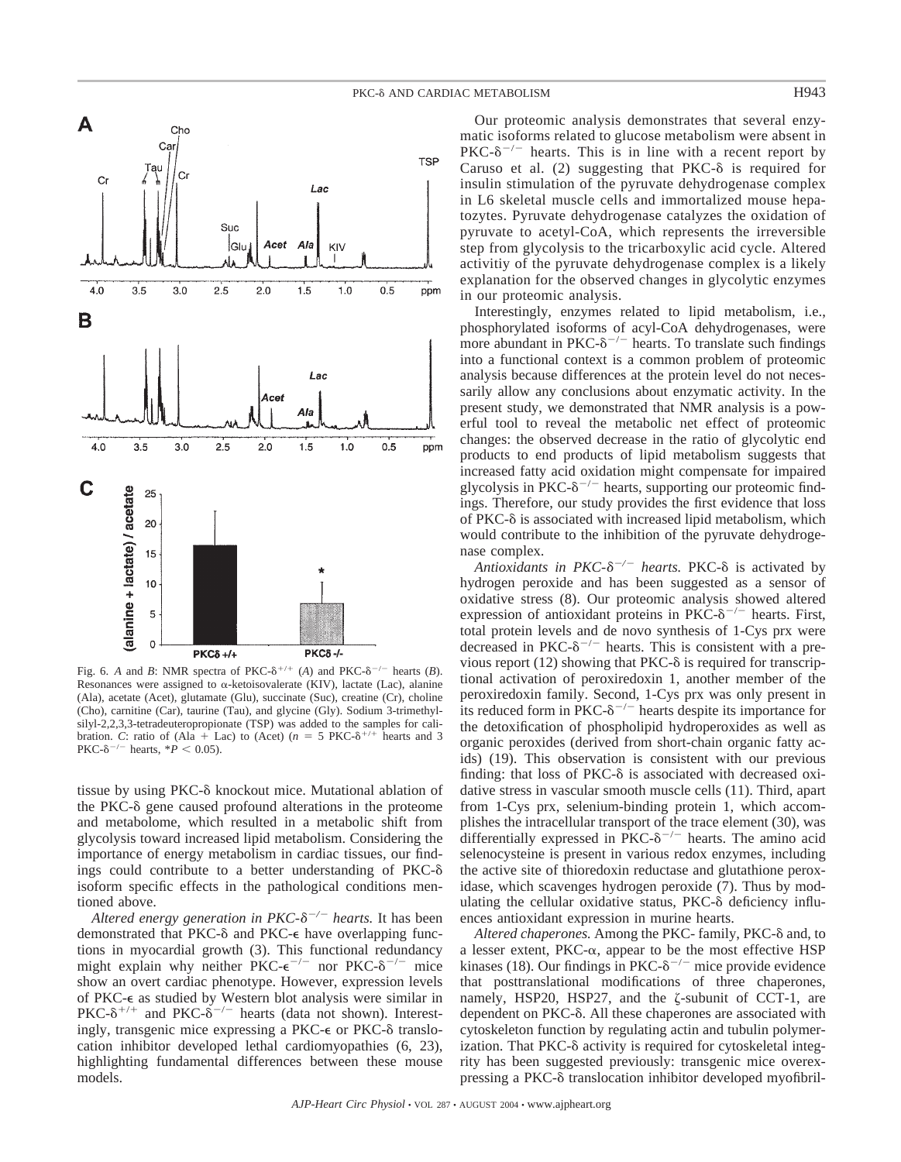

Fig. 6. *A* and *B*: NMR spectra of PKC- $\delta^{+/+}$  (*A*) and PKC- $\delta^{-/-}$  hearts (*B*). Resonances were assigned to  $\alpha$ -ketoisovalerate (KIV), lactate (Lac), alanine (Ala), acetate (Acet), glutamate (Glu), succinate (Suc), creatine (Cr), choline (Cho), carnitine (Car), taurine (Tau), and glycine (Gly). Sodium 3-trimethylsilyl-2,2,3,3-tetradeuteropropionate (TSP) was added to the samples for calibration. *C*: ratio of (Ala + Lac) to (Acet) ( $n = 5$  PKC- $\delta^{+/+}$  hearts and 3  $PKC-<sup>8</sup>$ <sup>-/-</sup> hearts, \**P* < 0.05).

tissue by using  $PKC-\delta$  knockout mice. Mutational ablation of the PKC- $\delta$  gene caused profound alterations in the proteome and metabolome, which resulted in a metabolic shift from glycolysis toward increased lipid metabolism. Considering the importance of energy metabolism in cardiac tissues, our findings could contribute to a better understanding of PKC isoform specific effects in the pathological conditions mentioned above.

Altered energy generation in PKC- $\delta^{-/-}$  hearts. It has been demonstrated that PKC- $\delta$  and PKC- $\epsilon$  have overlapping functions in myocardial growth (3). This functional redundancy might explain why neither PKC- $e^{-/-}$  nor PKC- $\delta^{-/-}$  mice show an overt cardiac phenotype. However, expression levels of PKC- $\epsilon$  as studied by Western blot analysis were similar in PKC- $\delta^{+/+}$  and PKC- $\delta^{-/-}$  hearts (data not shown). Interestingly, transgenic mice expressing a PKC- $\epsilon$  or PKC- $\delta$  translocation inhibitor developed lethal cardiomyopathies (6, 23), highlighting fundamental differences between these mouse models.

Our proteomic analysis demonstrates that several enzymatic isoforms related to glucose metabolism were absent in  $PKC-<sup>o</sup>$  hearts. This is in line with a recent report by Caruso et al. (2) suggesting that  $PKC-\delta$  is required for insulin stimulation of the pyruvate dehydrogenase complex in L6 skeletal muscle cells and immortalized mouse hepatozytes. Pyruvate dehydrogenase catalyzes the oxidation of pyruvate to acetyl-CoA, which represents the irreversible step from glycolysis to the tricarboxylic acid cycle. Altered activitiy of the pyruvate dehydrogenase complex is a likely explanation for the observed changes in glycolytic enzymes in our proteomic analysis.

Interestingly, enzymes related to lipid metabolism, i.e., phosphorylated isoforms of acyl-CoA dehydrogenases, were more abundant in PKC- $\delta^{-/-}$  hearts. To translate such findings into a functional context is a common problem of proteomic analysis because differences at the protein level do not necessarily allow any conclusions about enzymatic activity. In the present study, we demonstrated that NMR analysis is a powerful tool to reveal the metabolic net effect of proteomic changes: the observed decrease in the ratio of glycolytic end products to end products of lipid metabolism suggests that increased fatty acid oxidation might compensate for impaired glycolysis in PKC- $\delta^{-/-}$  hearts, supporting our proteomic findings. Therefore, our study provides the first evidence that loss of  $PKC-\delta$  is associated with increased lipid metabolism, which would contribute to the inhibition of the pyruvate dehydrogenase complex.

Antioxidants in PKC-δ<sup>-/-</sup> hearts. PKC-δ is activated by hydrogen peroxide and has been suggested as a sensor of oxidative stress (8). Our proteomic analysis showed altered expression of antioxidant proteins in PKC- $\delta^{-/-}$  hearts. First, total protein levels and de novo synthesis of 1-Cys prx were decreased in PKC- $\delta^{-/-}$  hearts. This is consistent with a previous report (12) showing that PKC- $\delta$  is required for transcriptional activation of peroxiredoxin 1, another member of the peroxiredoxin family. Second, 1-Cys prx was only present in its reduced form in PKC- $\delta^{-/-}$  hearts despite its importance for the detoxification of phospholipid hydroperoxides as well as organic peroxides (derived from short-chain organic fatty acids) (19). This observation is consistent with our previous finding: that loss of  $PKC-\delta$  is associated with decreased oxidative stress in vascular smooth muscle cells (11). Third, apart from 1-Cys prx, selenium-binding protein 1, which accomplishes the intracellular transport of the trace element (30), was differentially expressed in PKC- $\delta^{-/-}$  hearts. The amino acid selenocysteine is present in various redox enzymes, including the active site of thioredoxin reductase and glutathione peroxidase, which scavenges hydrogen peroxide (7). Thus by modulating the cellular oxidative status,  $PKC-\delta$  deficiency influences antioxidant expression in murine hearts.

Altered chaperones. Among the PKC- family, PKC- $\delta$  and, to a lesser extent, PKC- $\alpha$ , appear to be the most effective HSP kinases (18). Our findings in PKC- $\delta^{-/-}$  mice provide evidence that posttranslational modifications of three chaperones, namely, HSP20, HSP27, and the  $\zeta$ -subunit of CCT-1, are dependent on PKC- $\delta$ . All these chaperones are associated with cytoskeleton function by regulating actin and tubulin polymerization. That  $PKC-\delta$  activity is required for cytoskeletal integrity has been suggested previously: transgenic mice overexpressing a PKC- $\delta$  translocation inhibitor developed myofibril-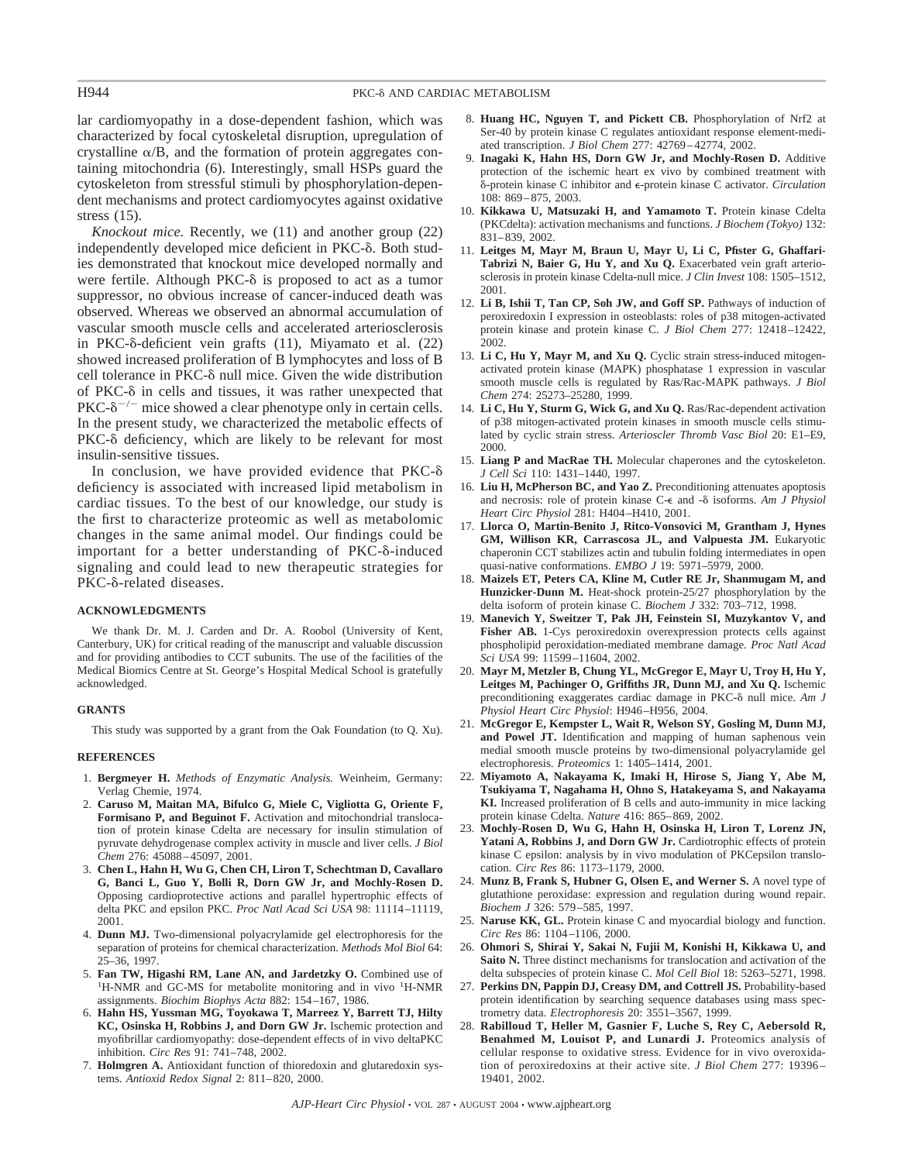## H944 **PKC-8** AND CARDIAC METABOLISM

lar cardiomyopathy in a dose-dependent fashion, which was characterized by focal cytoskeletal disruption, upregulation of crystalline  $\alpha/B$ , and the formation of protein aggregates containing mitochondria (6). Interestingly, small HSPs guard the cytoskeleton from stressful stimuli by phosphorylation-dependent mechanisms and protect cardiomyocytes against oxidative stress (15).

*Knockout mice.* Recently, we (11) and another group (22) independently developed mice deficient in PKC- $\delta$ . Both studies demonstrated that knockout mice developed normally and were fertile. Although PKC- $\delta$  is proposed to act as a tumor suppressor, no obvious increase of cancer-induced death was observed. Whereas we observed an abnormal accumulation of vascular smooth muscle cells and accelerated arteriosclerosis in PKC- $\delta$ -deficient vein grafts  $(11)$ , Miyamato et al.  $(22)$ showed increased proliferation of B lymphocytes and loss of B cell tolerance in  $PKC-<sub>o</sub>$  null mice. Given the wide distribution of PKC- $\delta$  in cells and tissues, it was rather unexpected that  $PKC-<sup>8</sup>$ <sup>-/-</sup> mice showed a clear phenotype only in certain cells. In the present study, we characterized the metabolic effects of  $PKC-\delta$  deficiency, which are likely to be relevant for most insulin-sensitive tissues.

In conclusion, we have provided evidence that  $PKC-\delta$ deficiency is associated with increased lipid metabolism in cardiac tissues. To the best of our knowledge, our study is the first to characterize proteomic as well as metabolomic changes in the same animal model. Our findings could be important for a better understanding of  $PKC-\delta$ -induced signaling and could lead to new therapeutic strategies for  $PKC-\delta$ -related diseases.

### **ACKNOWLEDGMENTS**

We thank Dr. M. J. Carden and Dr. A. Roobol (University of Kent, Canterbury, UK) for critical reading of the manuscript and valuable discussion and for providing antibodies to CCT subunits. The use of the facilities of the Medical Biomics Centre at St. George's Hospital Medical School is gratefully acknowledged.

## **GRANTS**

This study was supported by a grant from the Oak Foundation (to Q. Xu).

### **REFERENCES**

- 1. **Bergmeyer H.** *Methods of Enzymatic Analysis.* Weinheim, Germany: Verlag Chemie, 1974.
- 2. **Caruso M, Maitan MA, Bifulco G, Miele C, Vigliotta G, Oriente F, Formisano P, and Beguinot F.** Activation and mitochondrial translocation of protein kinase Cdelta are necessary for insulin stimulation of pyruvate dehydrogenase complex activity in muscle and liver cells. *J Biol Chem* 276: 45088–45097, 2001.
- 3. **Chen L, Hahn H, Wu G, Chen CH, Liron T, Schechtman D, Cavallaro G, Banci L, Guo Y, Bolli R, Dorn GW Jr, and Mochly-Rosen D.** Opposing cardioprotective actions and parallel hypertrophic effects of delta PKC and epsilon PKC. *Proc Natl Acad Sci USA* 98: 11114–11119, 2001.
- 4. **Dunn MJ.** Two-dimensional polyacrylamide gel electrophoresis for the separation of proteins for chemical characterization. *Methods Mol Biol* 64: 25–36, 1997.
- 5. **Fan TW, Higashi RM, Lane AN, and Jardetzky O.** Combined use of <sup>1</sup> H-NMR and GC-MS for metabolite monitoring and in vivo <sup>1</sup>H-NMR assignments. *Biochim Biophys Acta* 882: 154–167, 1986.
- 6. **Hahn HS, Yussman MG, Toyokawa T, Marreez Y, Barrett TJ, Hilty KC, Osinska H, Robbins J, and Dorn GW Jr.** Ischemic protection and myofibrillar cardiomyopathy: dose-dependent effects of in vivo deltaPKC inhibition. *Circ Res* 91: 741–748, 2002.
- 7. **Holmgren A.** Antioxidant function of thioredoxin and glutaredoxin systems. *Antioxid Redox Signal* 2: 811–820, 2000.
- 8. **Huang HC, Nguyen T, and Pickett CB.** Phosphorylation of Nrf2 at Ser-40 by protein kinase C regulates antioxidant response element-mediated transcription. *J Biol Chem* 277: 42769–42774, 2002.
- 9. **Inagaki K, Hahn HS, Dorn GW Jr, and Mochly-Rosen D.** Additive protection of the ischemic heart ex vivo by combined treatment with -protein kinase C inhibitor and -protein kinase C activator. *Circulation* 108: 869–875, 2003.
- 10. **Kikkawa U, Matsuzaki H, and Yamamoto T.** Protein kinase Cdelta (PKCdelta): activation mechanisms and functions. *J Biochem (Tokyo)* 132: 831–839, 2002.
- 11. **Leitges M, Mayr M, Braun U, Mayr U, Li C, Pfister G, Ghaffari-Tabrizi N, Baier G, Hu Y, and Xu Q.** Exacerbated vein graft arteriosclerosis in protein kinase Cdelta-null mice. *J Clin Invest* 108: 1505–1512, 2001.
- 12. **Li B, Ishii T, Tan CP, Soh JW, and Goff SP.** Pathways of induction of peroxiredoxin I expression in osteoblasts: roles of p38 mitogen-activated protein kinase and protein kinase C. *J Biol Chem* 277: 12418–12422, 2002.
- 13. **Li C, Hu Y, Mayr M, and Xu Q.** Cyclic strain stress-induced mitogenactivated protein kinase (MAPK) phosphatase 1 expression in vascular smooth muscle cells is regulated by Ras/Rac-MAPK pathways. *J Biol Chem* 274: 25273–25280, 1999.
- 14. **Li C, Hu Y, Sturm G, Wick G, and Xu Q.** Ras/Rac-dependent activation of p38 mitogen-activated protein kinases in smooth muscle cells stimulated by cyclic strain stress. *Arterioscler Thromb Vasc Biol* 20: E1–E9, 2000.
- 15. **Liang P and MacRae TH.** Molecular chaperones and the cytoskeleton. *J Cell Sci* 110: 1431–1440, 1997.
- 16. **Liu H, McPherson BC, and Yao Z.** Preconditioning attenuates apoptosis and necrosis: role of protein kinase C- $\epsilon$  and - $\delta$  isoforms. *Am J Physiol Heart Circ Physiol* 281: H404–H410, 2001.
- 17. **Llorca O, Martin-Benito J, Ritco-Vonsovici M, Grantham J, Hynes GM, Willison KR, Carrascosa JL, and Valpuesta JM.** Eukaryotic chaperonin CCT stabilizes actin and tubulin folding intermediates in open quasi-native conformations. *EMBO J* 19: 5971–5979, 2000.
- 18. **Maizels ET, Peters CA, Kline M, Cutler RE Jr, Shanmugam M, and Hunzicker-Dunn M.** Heat-shock protein-25/27 phosphorylation by the delta isoform of protein kinase C. *Biochem J* 332: 703–712, 1998.
- 19. **Manevich Y, Sweitzer T, Pak JH, Feinstein SI, Muzykantov V, and Fisher AB.** 1-Cys peroxiredoxin overexpression protects cells against phospholipid peroxidation-mediated membrane damage. *Proc Natl Acad Sci USA* 99: 11599–11604, 2002.
- 20. **Mayr M, Metzler B, Chung YL, McGregor E, Mayr U, Troy H, Hu Y, Leitges M, Pachinger O, Griffiths JR, Dunn MJ, and Xu Q.** Ischemic preconditioning exaggerates cardiac damage in PKC-8 null mice. Am J *Physiol Heart Circ Physiol*: H946–H956, 2004.
- 21. **McGregor E, Kempster L, Wait R, Welson SY, Gosling M, Dunn MJ, and Powel JT.** Identification and mapping of human saphenous vein medial smooth muscle proteins by two-dimensional polyacrylamide gel electrophoresis. *Proteomics* 1: 1405–1414, 2001.
- 22. **Miyamoto A, Nakayama K, Imaki H, Hirose S, Jiang Y, Abe M, Tsukiyama T, Nagahama H, Ohno S, Hatakeyama S, and Nakayama KI.** Increased proliferation of B cells and auto-immunity in mice lacking protein kinase Cdelta. *Nature* 416: 865–869, 2002.
- 23. **Mochly-Rosen D, Wu G, Hahn H, Osinska H, Liron T, Lorenz JN, Yatani A, Robbins J, and Dorn GW Jr.** Cardiotrophic effects of protein kinase C epsilon: analysis by in vivo modulation of PKCepsilon translocation. *Circ Res* 86: 1173–1179, 2000.
- 24. **Munz B, Frank S, Hubner G, Olsen E, and Werner S.** A novel type of glutathione peroxidase: expression and regulation during wound repair. *Biochem J* 326: 579–585, 1997.
- 25. **Naruse KK, GL.** Protein kinase C and myocardial biology and function. *Circ Res* 86: 1104–1106, 2000.
- 26. **Ohmori S, Shirai Y, Sakai N, Fujii M, Konishi H, Kikkawa U, and Saito N.** Three distinct mechanisms for translocation and activation of the delta subspecies of protein kinase C. *Mol Cell Biol* 18: 5263–5271, 1998.
- 27. **Perkins DN, Pappin DJ, Creasy DM, and Cottrell JS.** Probability-based protein identification by searching sequence databases using mass spectrometry data. *Electrophoresis* 20: 3551–3567, 1999.
- 28. **Rabilloud T, Heller M, Gasnier F, Luche S, Rey C, Aebersold R, Benahmed M, Louisot P, and Lunardi J.** Proteomics analysis of cellular response to oxidative stress. Evidence for in vivo overoxidation of peroxiredoxins at their active site. *J Biol Chem* 277: 19396 – 19401, 2002.